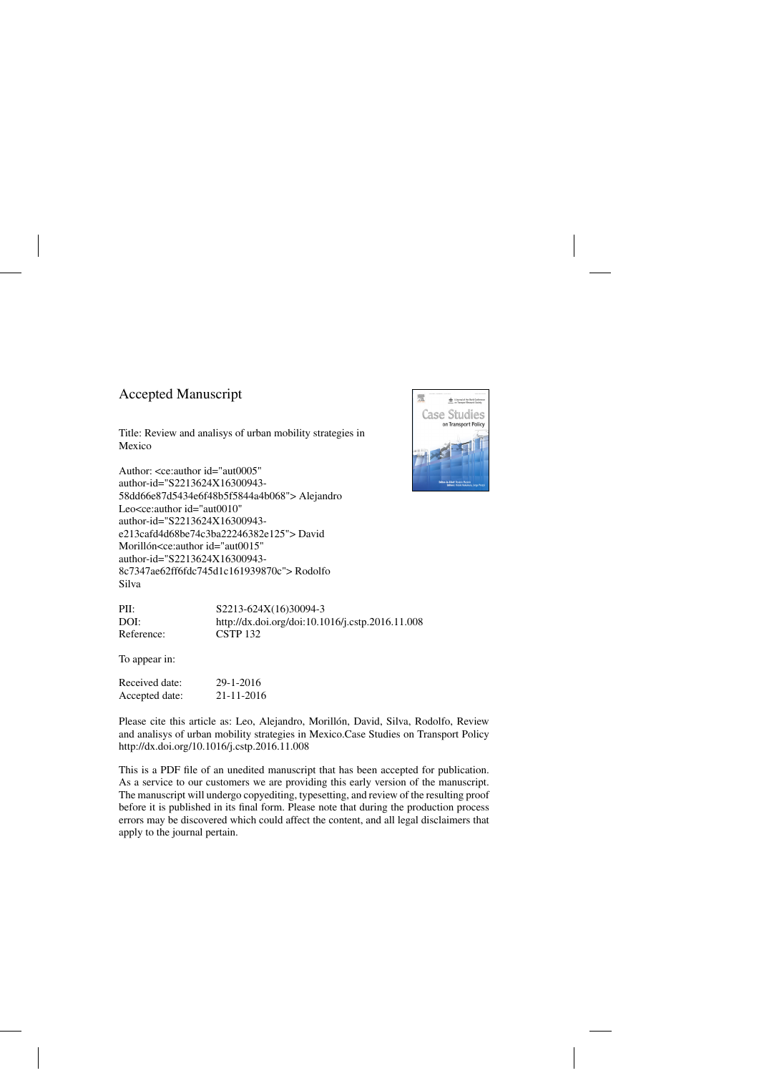### Accepted Manuscript

Title: Review and analisys of urban mobility strategies in Mexico

Author: <ce:author id="aut0005" author-id="S2213624X16300943- 58dd66e87d5434e6f48b5f5844a4b068"> Alejandro Leo<ce:author id="aut0010" author-id="S2213624X16300943 e213cafd4d68be74c3ba22246382e125"> David Morillón<ce:author id="aut0015" author-id="S2213624X16300943- 8c7347ae62ff6fdc745d1c161939870c"> Rodolfo Silva



| PII:       | S2213-624X(16)30094-3                            |
|------------|--------------------------------------------------|
| DOI:       | http://dx.doi.org/doi:10.1016/j.cstp.2016.11.008 |
| Reference: | <b>CSTP 132</b>                                  |

To appear in:

| Received date: | 29-1-2016  |
|----------------|------------|
| Accepted date: | 21-11-2016 |

Please cite this article as: Leo, Alejandro, Morillón, David, Silva, Rodolfo, Review and analisys of urban mobility strategies in Mexico.Case Studies on Transport Policy <http://dx.doi.org/10.1016/j.cstp.2016.11.008>

This is a PDF file of an unedited manuscript that has been accepted for publication. As a service to our customers we are providing this early version of the manuscript. The manuscript will undergo copyediting, typesetting, and review of the resulting proof before it is published in its final form. Please note that during the production process errors may be discovered which could affect the content, and all legal disclaimers that apply to the journal pertain.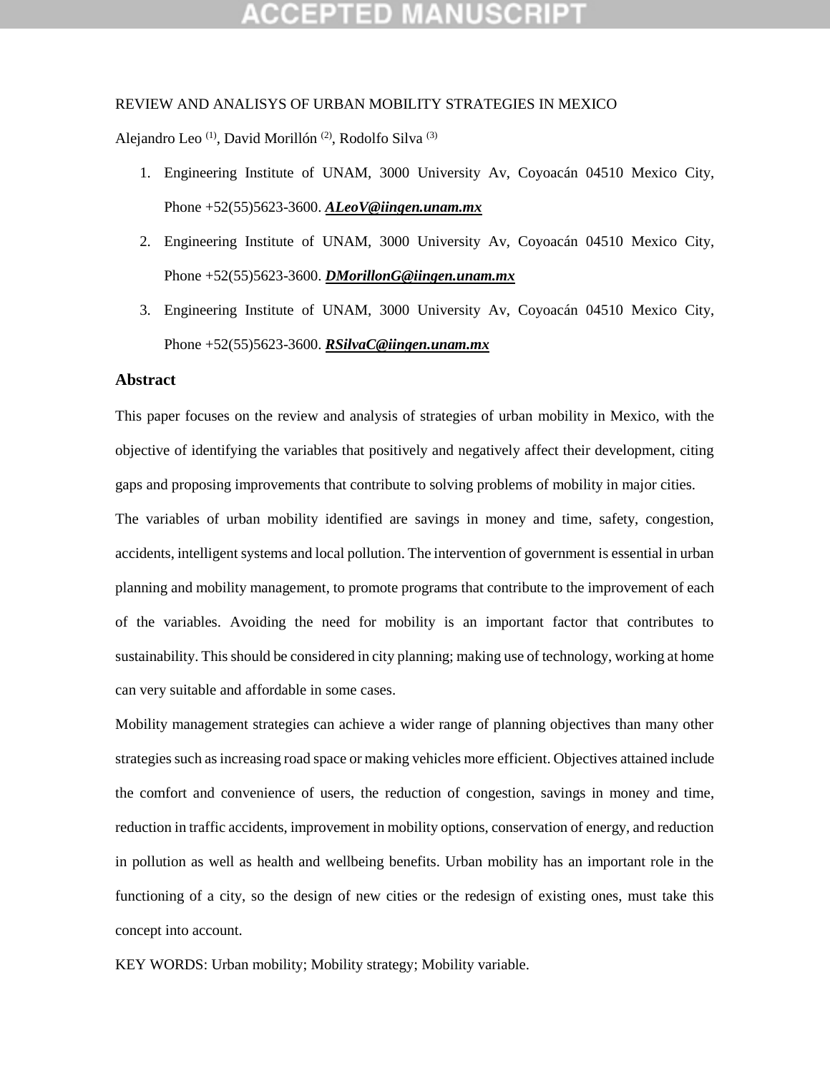# **CEPTED M**

#### REVIEW AND ANALISYS OF URBAN MOBILITY STRATEGIES IN MEXICO

Alejandro Leo<sup>(1)</sup>, David Morillón<sup>(2)</sup>, Rodolfo Silva<sup>(3)</sup>

- 1. Engineering Institute of UNAM, 3000 University Av, Coyoacán 04510 Mexico City, Phone +52(55)5623-3600. *[ALeoV@iingen.unam.mx](mailto:ALeoV@iingen.unam.mx)*
- 2. Engineering Institute of UNAM, 3000 University Av, Coyoacán 04510 Mexico City, Phone +52(55)5623-3600. *[DMorillonG@iingen.unam.mx](mailto:DMorillonG@iingen.unam.mx)*
- 3. Engineering Institute of UNAM, 3000 University Av, Coyoacán 04510 Mexico City, Phone +52(55)5623-3600. *[RSilvaC@iingen.unam.mx](mailto:RSilvaC@iingen.unam.mx)*

### **Abstract**

This paper focuses on the review and analysis of strategies of urban mobility in Mexico, with the objective of identifying the variables that positively and negatively affect their development, citing gaps and proposing improvements that contribute to solving problems of mobility in major cities. The variables of urban mobility identified are savings in money and time, safety, congestion, accidents, intelligent systems and local pollution. The intervention of government is essential in urban planning and mobility management, to promote programs that contribute to the improvement of each of the variables. Avoiding the need for mobility is an important factor that contributes to sustainability. This should be considered in city planning; making use of technology, working at home can very suitable and affordable in some cases.

Mobility management strategies can achieve a wider range of planning objectives than many other strategies such as increasing road space or making vehicles more efficient. Objectives attained include the comfort and convenience of users, the reduction of congestion, savings in money and time, reduction in traffic accidents, improvement in mobility options, conservation of energy, and reduction in pollution as well as health and wellbeing benefits. Urban mobility has an important role in the functioning of a city, so the design of new cities or the redesign of existing ones, must take this concept into account.

KEY WORDS: Urban mobility; Mobility strategy; Mobility variable.